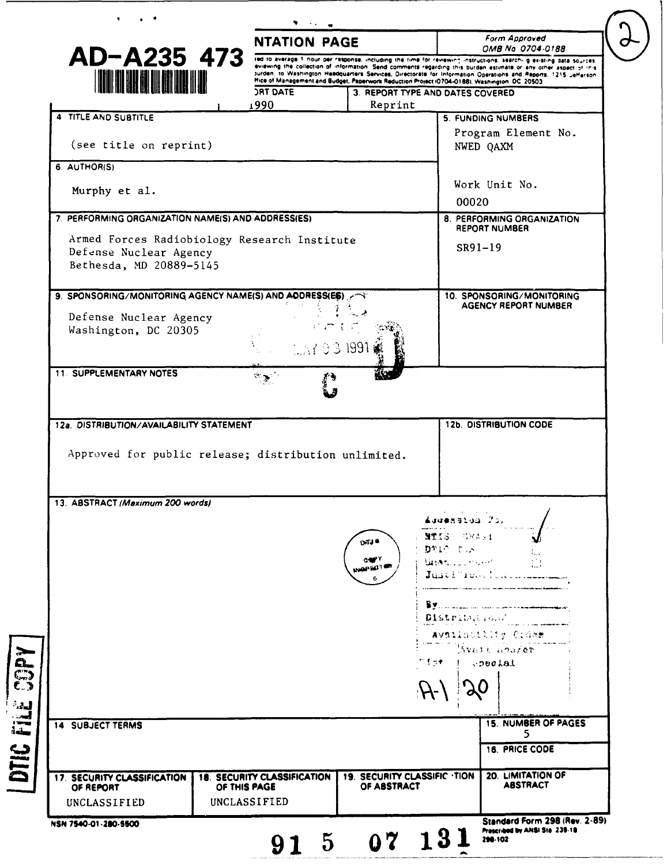|                                                                                                   | <b>NTATION PAGE</b>                                                |                                                                                                                                                                                                                                                                                                                                                            |                                  | Form Approved<br>OMB No 0704-0188                         |  |
|---------------------------------------------------------------------------------------------------|--------------------------------------------------------------------|------------------------------------------------------------------------------------------------------------------------------------------------------------------------------------------------------------------------------------------------------------------------------------------------------------------------------------------------------------|----------------------------------|-----------------------------------------------------------|--|
| AD-A235 473                                                                                       |                                                                    | red to average 1 hour per response, including the time for reviewing instructions, searchilig existing data sources<br>eviewing the collection of information. Send comments regarding this burden estimate or any other aspect of inis<br>Jurden, to Washington Headquarters Services, Directorate for Information Operations and Reports. 1215 Jefferson |                                  |                                                           |  |
| <b>THE REAL A</b>                                                                                 | <b>JRT DATE</b>                                                    | Hice of Management and Budget, Paperwork Reduction Project (0704-0188), Washington, DC 20503                                                                                                                                                                                                                                                               |                                  |                                                           |  |
|                                                                                                   | 1990                                                               | Reprint                                                                                                                                                                                                                                                                                                                                                    | 3. REPORT TYPE AND DATES COVERED |                                                           |  |
| 4 TITLE AND SUBTITLE                                                                              |                                                                    |                                                                                                                                                                                                                                                                                                                                                            |                                  | 5. FUNDING NUMBERS                                        |  |
| (see title on reprint)                                                                            |                                                                    |                                                                                                                                                                                                                                                                                                                                                            |                                  | Program Element No.<br>NWED QAXM                          |  |
| 6. AUTHOR(S)                                                                                      |                                                                    |                                                                                                                                                                                                                                                                                                                                                            |                                  |                                                           |  |
| Murphy et al.                                                                                     |                                                                    |                                                                                                                                                                                                                                                                                                                                                            |                                  | Work Unit No.                                             |  |
|                                                                                                   |                                                                    |                                                                                                                                                                                                                                                                                                                                                            |                                  | 00020                                                     |  |
| 7. PERFORMING ORGANIZATION NAME(S) AND ADDRESS(ES)                                                |                                                                    |                                                                                                                                                                                                                                                                                                                                                            |                                  | 8. PERFORMING ORGANIZATION<br>REPORT NUMBER               |  |
| Armed Forces Radiobiology Research Institute<br>Defense Nuclear Agency<br>Bethesda, MD 20889-5145 |                                                                    |                                                                                                                                                                                                                                                                                                                                                            |                                  | SR91-19                                                   |  |
| 9. SPONSORING/MONITORING AGENCY NAME(S) AND ADDRESS(ES)                                           |                                                                    |                                                                                                                                                                                                                                                                                                                                                            |                                  | 10. SPONSORING/MONITORING                                 |  |
| Defense Nuclear Agency                                                                            |                                                                    |                                                                                                                                                                                                                                                                                                                                                            |                                  | AGENCY REPORT NUMBER                                      |  |
| Washington, DC 20305                                                                              |                                                                    |                                                                                                                                                                                                                                                                                                                                                            |                                  |                                                           |  |
|                                                                                                   |                                                                    | 1.37 03 1991                                                                                                                                                                                                                                                                                                                                               |                                  |                                                           |  |
| 11. SUPPLEMENTARY NOTES                                                                           | المتوافق                                                           |                                                                                                                                                                                                                                                                                                                                                            |                                  |                                                           |  |
|                                                                                                   |                                                                    |                                                                                                                                                                                                                                                                                                                                                            |                                  |                                                           |  |
| 12a. DISTRIBUTION/AVAILABILITY STATEMENT                                                          |                                                                    |                                                                                                                                                                                                                                                                                                                                                            |                                  | <b>12b. DISTRIBUTION CODE</b>                             |  |
| Approved for public release; distribution unlimited.<br>13. ABSTRACT (Maximum 200 words)          |                                                                    |                                                                                                                                                                                                                                                                                                                                                            |                                  |                                                           |  |
|                                                                                                   |                                                                    |                                                                                                                                                                                                                                                                                                                                                            | Asaesaloa 75,<br>NTIS SEARI      |                                                           |  |
|                                                                                                   |                                                                    | D-TJ &                                                                                                                                                                                                                                                                                                                                                     | <b>DAIR BUS CO</b>               |                                                           |  |
|                                                                                                   |                                                                    | <b>CWYY</b><br><b>INGPECT®</b>                                                                                                                                                                                                                                                                                                                             | Unancoloniano                    | Justineouthing                                            |  |
|                                                                                                   |                                                                    |                                                                                                                                                                                                                                                                                                                                                            |                                  |                                                           |  |
|                                                                                                   |                                                                    |                                                                                                                                                                                                                                                                                                                                                            |                                  |                                                           |  |
|                                                                                                   |                                                                    |                                                                                                                                                                                                                                                                                                                                                            |                                  | Distribution /                                            |  |
|                                                                                                   |                                                                    |                                                                                                                                                                                                                                                                                                                                                            |                                  | Availactlity Crdss.                                       |  |
|                                                                                                   |                                                                    |                                                                                                                                                                                                                                                                                                                                                            | ार्थ≠                            | Svall worder<br>t openial                                 |  |
|                                                                                                   |                                                                    |                                                                                                                                                                                                                                                                                                                                                            |                                  |                                                           |  |
|                                                                                                   |                                                                    |                                                                                                                                                                                                                                                                                                                                                            | $A -$                            |                                                           |  |
| 14 SUBJECT TERMS                                                                                  |                                                                    |                                                                                                                                                                                                                                                                                                                                                            |                                  |                                                           |  |
|                                                                                                   |                                                                    |                                                                                                                                                                                                                                                                                                                                                            |                                  | <b>15. NUMBER OF PAGES</b><br>5.<br><b>16. PRICE CODE</b> |  |
|                                                                                                   |                                                                    |                                                                                                                                                                                                                                                                                                                                                            |                                  |                                                           |  |
| 17. SECURITY CLASSIFICATION<br>OF REPORT                                                          | <b>18. SECURITY CLASSIFICATION</b><br>OF THIS PAGE<br>UNCLASSIFIED | 19. SECURITY CLASSIFIC TION<br>OF ABSTRACT                                                                                                                                                                                                                                                                                                                 |                                  | 20. LIMITATION OF<br><b>ABSTRACT</b>                      |  |

-<br>Z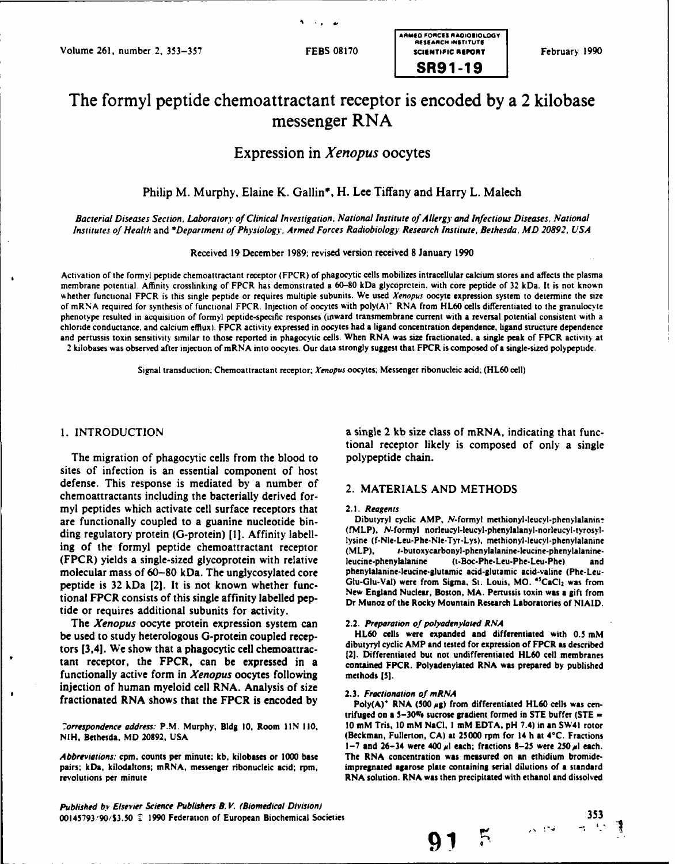

# The formyl peptide chemoattractant receptor is encoded **by** a 2 kilobase messenger RNA

# Expression in Xenopus oocytes

## Philip M. Murphy, Elaine K. Gallin\*, H. Lee Tiffany and Harry L. Malech

Bacterial Diseases Section, Laboratory of Clinical Investigation. National Institute of Allergy and Infectious Diseases National Institutes of Health and *\*Department* of Physiology, Armed Forces Radiobiology Research Institute, Bethesda, MD **20892, USA**

Received **19** December **1989;** revised version received **8** January **1990**

Activation of the formyl peptide chemoattractant receptor (FPCR) of phagocytic cells mobilizes intracellular calcium stores and affects the plasma membrane potential. Affinity crosslinking of FPCR has demonstrated a **60-80** kDa glycoprotein. with core peptide of **32** kDa. It is not known whether functional FPCR is this single peptide or requires multiple subunits. We used Xenopus oocyte expression system to determine the size of mRNA required for synthesis of functional FPCR. Injection of oocytes with poly(A)r RNA from **HL60** cells differentiated to the granulocyte phenotype resulted in acquisition of formyl peptide-specific responses (inward transmembrane current with a reversal potential consistent with a chloride conductance, and calcium efflux). FPCR activity expressed in oocytes had a ligand concentration dependence. ligand structure dependence and pertussis toxin sensitivity similar to those reported in phagocytic cells. When RNA was size fractionated, a single peak of FPCR activity at 2 kilobases was observed after injection ofmRNA into oocytes. Our data strongly suggest that FPCR is composed of a single-sized polypeptide.

Signal transduction: Chemoattractant receptor; *Xenopus* oocytes; Messenger ribonucleic acid; **(HL60** cell)

The migration of phagocytic cells from the blood to polypeptide chain. sites of infection is an essential component of host defense. This response is mediated **by** a number of 2. MATERIALS **AND METHODS** chemoattractants including the bacterially derived formyl peptides which activate cell surface receptors that 2.1. Reagents<br>are functionally coupled to a guanine nucleotide bin-<br>Dibutyryl cyclic AMP, N-formyl methionyl-leucyl-phenylalanine are functionally coupled to a guanine nucleotide bin-<br>
(MLP), N-formyl norleucyl-leucyl-phenylalanyl-norleucyl-tyrosyl-<br>
(MLP), N-formyl norleucyl-leucyl-phenylalanyl-norleucyl-tyrosylding regulatory protein (G-protein) [1]. Affinity labell-<br>ing of the formyl peptide chemoattractant receptor (MLP), r-lormyl norieucyl-phenylalanine-leucine-phenylalanine<br>(MLP), r-butoxycarbonyl-phenylalanine-leucine-pheny (FPCR) yields a single-sized glycoprotein with relative leucine-phenylalanine (t-Boc-Phe-Leu-Phe-Leu-Phe) and molecular mass of 60-80 kDa. The unglycosylated core phenylalanine-leucine-glutamic acid-glutamic acid-valine (Phe-Leu-<br>nentide is 32 kDa [2] It is not known whether func. Glu-Glu-Val) were from Sigma, St. Louis, MO. <sup>45</sup>C peptide is 32 kDa [2]. It is not known whether functional FPCR consists **of** this single affinity labelled pep- **Dr** Munoz of **the** Rocky Mountain Research Laboratories of **NIAID.** tide or requires additional subunits for activity.

The Xenopus oocyte protein expression system can 2.2. Preparation of polyadenylated RNA **be** used to study heterologous G-protein coupled recep- **HL60** cells were **expanded** and **differentiated** with **0.5 mM tars** [3,41. We show that a phagocytic cell chemoattrac- dibutyryl cyclic **AMP and** tested for expression of FPCR **as** described tant receptor, the FPCR, can be expressed in a contained **FPCR. Polyadenylated RNA was** prepared **by** published functionally active form in Xenopus oocytes following methods **15).** injection of human myeloid cell RNA. Analysis of size **2.3.** Fractionation of mRNA fractionated RNA shows that the FPCR is encoded **by Poly(A)\* RNA (500 ag)** from differentiated **HL60 cells was** cen-

pairs; kDa. kilodaltons; mRNA, messenger ribonucleic acid; rpm, impregnated **agarose** plate containing serial dilutions of **a** standard revolutions per minute RNA solution. RNA **was** then precipitated with ethanol and dissolved

**1.** INTRODUCTION a single 2 **kb** size class of mRNA, indicating that functional receptor likely is composed of only a single

New England Nuclear, Boston, MA. Pertussis toxin was a gift from

121. Differentiated but not undifferentiated **HL60** cell membranes

trifuged on **a 5-30%** sucrose gradient formed in **STE** buffer **(STE -** *7orrespondence* address: P.M. Murphy, Bldg **10,** Room **IIN l10.** . **0** mM Tris, **10** mM **NaCI, I** mM **EDTA, pH** 7.4) in an SW41 rotor **NIH. Bethesda,** MD **20892, USA** (Beckman, Fullerton, **CA)** at 25000 rpm for **14** h at 4C. Fractions **1-7** and 26-34 were 400 *#1* each; fractions 8-25 were **250#1** each. Abbreviations: cpm, counts per minute; **kb,** kilobases or **1000** base The RNA concentration **was measured on an** ethidium bromide-

**91** 5 333

Published *by* Elsevier Science Publishers B. V. (Biomedical Division) **00145793,90/S3.50 T 1990** Federation of European Biochemical Societies **353**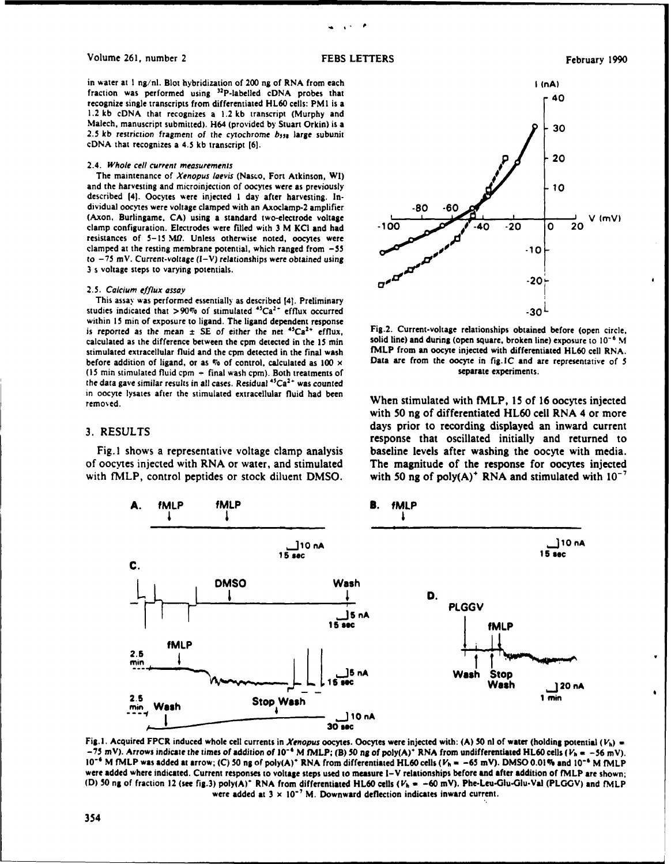### Volume **261,** number 2 **FEBS** LETTERS February **<sup>1990</sup>**

in water at 1 ng/nl. Blot hybridization of 200 ng of RNA from each I (nA) fraction was performed using <sup>32</sup>P-labelled cDNA probes that  $\tau$  40 fraction was performed using <sup>32</sup>P-labelled cDNA probes that recognize single transcripts from differentiated **HL60** cells: PMI is a 1.2 **kb** cDNA that recognizes a 1.2 **kb** transcript (Murphy and Malech, manuscript submitted). H64 (provided by Stuart Orkin) is a  $\left.\begin{matrix} \bullet & \bullet \\ \bullet & \bullet & \bullet \end{matrix}\right\}$  30 **2.5 kb** restriction fragment of the cytochrome **b,,** large subunit cDNA that recognizes a 4.5 **kb** transcript **[6).**

The maintenance of Xenopus laevis (Nasco, Fort Atkinson, WI) and the harvesting and microinjection of oocytes were as previously **- 10** described **(4].** Oocytes were injected **I** day after harvesting. Individual oocytes were voltage clamped with an Axoclamp-2 amplifier **-80** -60 -60 clamp configuration. Electrodes were filled with 3 M KCI and had resistances of **5-15** MD. Unless otherwise noted, oocytes were clamped at the resting membrane potential, which ranged from **-55 0 -0 10** to -75 mV. Current-voltage (I-V) relationships were obtained using **3** s voltage steps to varying potentials. *ID-*

This assay was performed essentially as described [4]. Preliminary L studies indicated that  $>90\%$  of stimulated  $^{45}Ca^{2+}$  efflux occurred **-30 L** studies indicated that >90% of stimulated  $^{45}Ca^{2+}$  efflux occurred<br>within 15 min of exposure to ligand. The ligand dependent response<br>is reported as the mean  $\pm$  **SE** of either the net  $^{45}Ca^{2+}$  efflux, Fig.2. Curre calculated as the difference between the cpm detected in the **15 min** solid line) and during (open square, broken line) exposure to **10-6 M** stimulated extracellular fluid and the cpm detected in the final wash fMLP from an oocyte injected with differentiated **HL60** cell RNA. before addition of ligand, or as **%** of control, calculated as **100** x Data are from the oocyte in fig.IC and are representative of **5** (15 min stimulated fluid cpm + final wash cpm). Both treatments of separate experiments. the data gave similar results in all cases. Residual  $45Ca<sup>2+</sup>$  was counted in oocyte lysates after the stimulated extracellular fluid had been removed. **When stimulated with fMLP, 15 of 16 oocytes injected**



with **50** ng of differentiated **HL60** cell RNA 4 or more **3. RESULTS** days prior to recording displayed an inward current response that oscillated initially and returned to Fig. **I** shows a representative voltage clamp analysis baseline levels after washing the oocyte with media. of oocytes injected with RNA or water, and stimulated The magnitude of the response for oocytes injected with fMLP, control peptides or stock diluent DMSO. with 50 ng of poly(A)<sup>+</sup> RNA and stimulated with  $10^{-7}$ 



Fig. **I.** Acquired FPCR induced whole cell currents in **Xenopus** oocytes. Oocytes were injected with: **(A) S0 nl** of **water** (holding potential **(Vh)** *=* **-75** mV). Arrows indicate the times of addition **of 10-'** M fMLP; **(B) 50** ng of poly(A)\* RNA from undifferentiated **HL60** cells **(Vh** *a* **-56** mV). **10"** M fMLP was added at arrow; **(C) S0** ng of poly(A)" RNA from differentiated **HL60** cells (Vh **- -65** mV). **DMSO 0.01 % and 10-'** M fMLP were added where indicated. Current responses to voltage steps used to measure I-V relationships before and after addition **of** fMLP are shown; **(D) S0** ng of fraction 12 (see **fig.3)** poly(A)" RNA from differentiated **HL60** cells (Vh **- -60** mV). Phe-Leu-Glu-Glu-Val (PLGOV) and fMLP were added at  $3 \times 10^{-7}$  M. Downward deflection indicates inward current.

354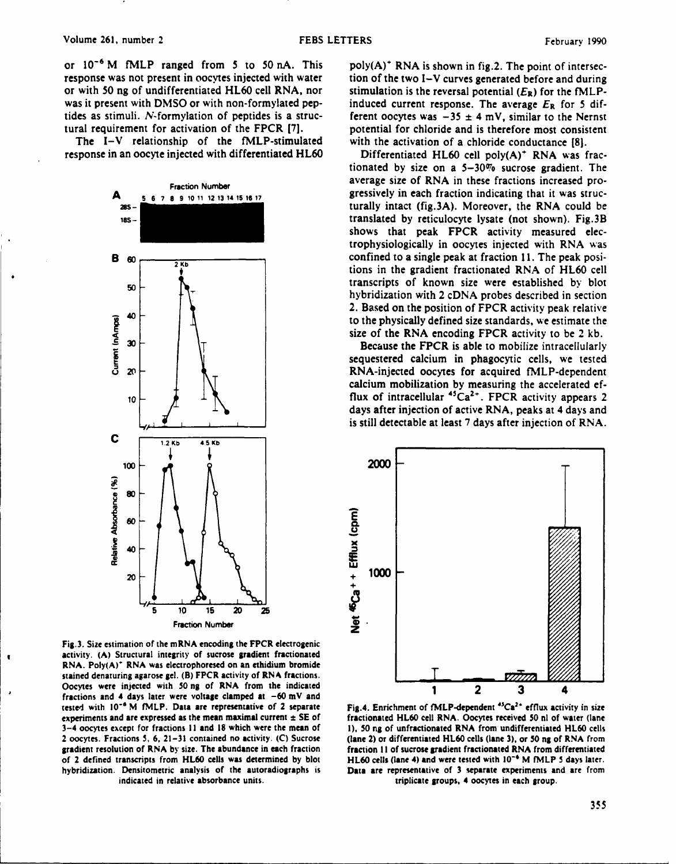or  $10^{-6}$  M fMLP ranged from 5 to 50 nA. This poly(A)<sup>+</sup> RNA is shown in fig.2. The point of intersecresponse was not present in oocytes injected with water tion of the two I-V curves generated before and during or with **50** ng of undifferentiated **HL60** cell RNA, nor stimulation is the reversal potential **(ER)** for the fMLPwas it present with DMSO or with non-formylated pep- induced current response. The average  $E_R$  for 5 diftides as stimuli. N-formylation of peptides is a struc- ferent oocytes was **-35 ±** 4 mV, similar to the Nernst

The I-V relationship of the fMLP-stimulated with the activation of a chloride conductance **[8].**



Fig.3. Size estimation of the mRNA encoding the FPCR electrogenic activity. **(A)** Structural integrity of sucrose gradient fractionated RNA. Poly(A)<sup>\*</sup> RNA was electrophoresed on an ethidium bromide stained denaturing agarose gel. (B) FPCR activity of RNA fractions. Oocytes were injected with 50 ng of RNA from the indicated **1** 2 3 4 fractions and 4 days later were voltage clamped **at -60 mV** and tested with  $10^{-6}$  M fMLP. Data are representative of 2 separate experiments and are expressed as the **mean** maximal current **± SE** of fractionated **HL60** cell RNA. Oocytes received **S0** ni of water (lane 3-4 oocytes except for fractions **II** and **18** which were the mean of **I), SO** ng of unfractionated RNA from undifferentiated **HL60** cells 2 oocytes. Fractions **5, 6, 21-31** contained no activity. **(C)** Sucrose (lane 2) or differentiated **HL60** cells (lane **3),** or **50** ng of RNA from gradient resolution of RNA **by** size. The abundance in each fraction fraction **I I** of sucrose gradient fractionated RNA from differentiated of 2 defined transcripts from **HL60** cells was determined **by** blot **HL60** cells (lane 4) and were tested with **10-** M **fMLP** 5 days later. hybridization. Densitometric analysis of the autoradiographs is Data are representative of 3 separate experiments and are from indicated in relative absorbance units. The strategies of the extension of triplicate groups, 4 oocytes in each group.

f

tural requirement for activation of the FPCR **(7].** potential for chloride and is therefore most consistent

response in an oocyte injected with differentiated **HL60 Differentiated HL60 cell poly(A)<sup>+</sup> RNA** was fractionated by size on a 5-30% sucrose gradient. The Fraction Number **average size of RNA** in these fractions increased pro-**A 5 6 10 11 12 13 14 15 16 17 a** 9 10 11 12 13 14 15 16 17 **OS-** turally intact **(fig.3A).** Moreover, the RNA could be **Ills-** translated **by** reticulocyte lysate (not shown). Fig.3B shows that peak FPCR activity measured electrophysiologically in oocytes injected with RNA was **B**  $\omega$ **2Ktions** in the gradient fractionated RNA of **HL60** cell **<sup>50</sup>- transcripts of known size were established by** blot **hybridization** with **2** cDNA probes **described in** section 2. Based on the position of FPCR activity peak relative **to the physically** defined size standards, we estimate the size of the RNA encoding FPCR activity to be 2 kb.

 $30 \div$   $\uparrow$   $\uparrow$ sequestered calcium in phagocytic cells, we tested **20** at  $\uparrow$  **b** and **P** and **P** and **P** and **P** and **P** and **P** and **P** and **P** and **P** and **P** and **P** and **P** and **P** and **P** and **P** and **P** and **P** and **P** and **P** and **P** and **P** and **P** and **P** and **P** and **P** and calcium mobilization **by** measuring the accelerated ef- $\begin{array}{ccc} 10 & \rightarrow & \perp \end{array}$   $\begin{array}{ccc} \uparrow & \uparrow & \uparrow \\ \uparrow & \downarrow & \downarrow \end{array}$   $\begin{array}{ccc} \uparrow & \uparrow & \uparrow \\ \downarrow & \downarrow & \downarrow \end{array}$   $\begin{array}{ccc} \uparrow & \downarrow & \downarrow \\ \downarrow & \downarrow & \downarrow \end{array}$   $\begin{array}{ccc} \uparrow & \downarrow & \downarrow \\ \downarrow & \downarrow & \downarrow \end{array}$ days after injection of active RNA, peaks at 4 days and is still detectable at least 7 days after injection of RNA.



Fig.4. Enrichment of fMLP-dependent <sup>45</sup>Ca<sup>2+</sup> efflux activity in size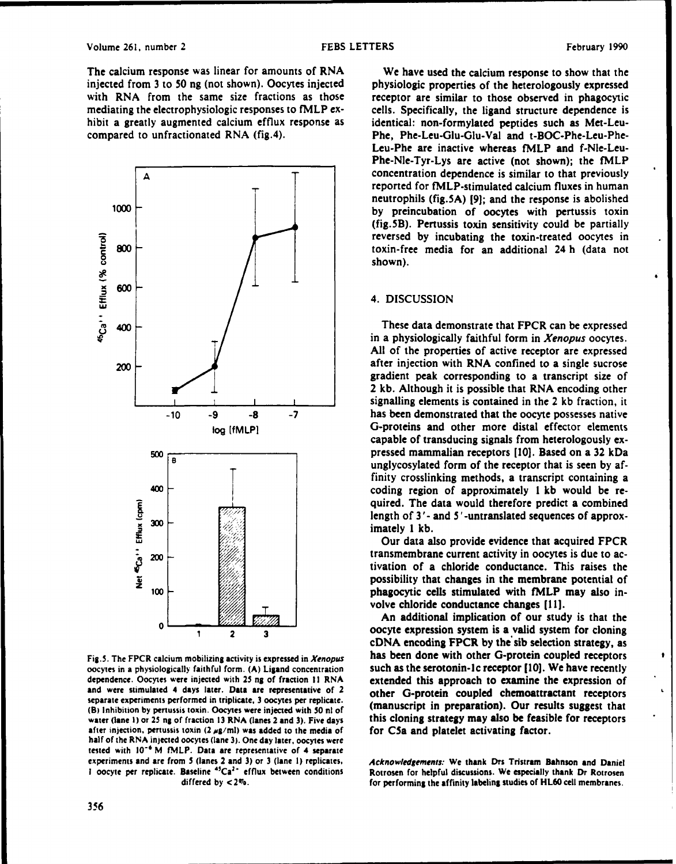hibit a greatly augmented calcium efflux response as identical: non-formylated peptides such as Met-Leucompared to unfractionated RNA (fig.4). Phe, Phe-Leu-Glu-Glu-Val and t-BOC-Phe-Leu-Phe-



separate experiments performed in triplicate, 3 oocytes per replicate. after injection, pertussis toxin (2  $\mu$ g/ml) was added to the media of for **CSa and platelet activating factor.** half of the RNA injected oocytes (lane **3). One day later, oocytes** were tested with **10-'** M fMLP. Data are representative of **4 separate** experiments and are from **5** (lanes 2 and **3)** or 3 (lane **I)** replicates, **Acknowledgements: We thank Drs Tristram** Bahnson **and Daniel I** oocyte per replicate. Baseline "Ca2" efflux between conditions Rotrosen for helpful discussions. We especially thank Dr Rotrosen

The calcium response was linear for amounts of RNA We have used the calcium response to show that the injected from **3** to **50** ng (not shown). Oocyes injected physiologic properties of the heterologously expressed with RNA from the same size fractions as those receptor are similar to those observed in phagocytic mediating the electrophysiologic responses to fMLP **ex-** cells. Specifically, the ligand structure dependence is Leu-Phe are inactive whereas fMLP and f-Nle-Leu-Phe-Nle-Tyr-Lys are active (not shown); the fMLP  $\Delta$  a concentration dependence is similar to that previously reported for fMLP-stimulated calcium fluxes in human neutrophils **(fig.SA) [9];** and the response is abolished 1000 **by preincubation of oocytes with pertussis toxin**<br> *by preincubation of oocytes with pertussis toxin* reversed **by** incubating the toxin-treated oocytes in **800 - toxin-free media for an additional 24 h (data not** shown).

*400* **-** These data demonstrate that FPCR can be expressed **L ) 7** in a physiologically faithful form in Xenopus oocytes. **All** of the properties of active receptor are expressed **200** after injection with RNA confined to a single sucrose gradient peak corresponding to a transcript size of 2 **kb.** Although it is possible that RNA encoding other **I** signalling elements is contained in the 2 **kb** fraction, it **-10 -9 -8 -7** has been demonstrated that the oocyte possesses native log [fMLP] G-proteins and other more distal effector elements capable of transducing signals from heterologously ex-**<sup>500</sup>**pressed mammalian receptors **[10].** Based on a **32** kDa unglycosylated form of the receptor that is seen **by** af- **I"** finity crosslinking methods, a transcript containing a **400** coding region of approximately **1 kb** would be required. The data would therefore predict a combined length of  $3'$ - and  $5'$ -untranslated sequences of approximately **1 kb.**

> Our data also provide evidence that acquired FPCR *transmembrane current activity in oocytes is due to ac*tivation of a chloride conductance. This raises the volve chloride conductance changes **[II].**

An additional implication of our study is that the 1 2 3 **3** OOCyte expression system is a valid system for cloning cDNA encoding FPCR **by** the' sib selection strategy, as Fig.5. The FPCR calcium mobilizing activity is expressed in **Xenopus** has been done with other G-protein coupled receptors oocytes in a physiologically faithful form. **(A)** Ligand concentration such as the serotonin-Ic receptor **I 10].** We have recently dependence. **Oocytes** were injected with 25 ng of fraction **II** RNA extended this approach to examine the expression of and were stimulated 4 days later. **Data are representative** of 2 other G-protein coupled chemoattratant receptors **(B)** Inhibition **by** pertussis toxin. Oocytes were injected with **50 nl** of (manuscript in preparation). Our results suggest that water (lane **i)** or **25** ng of fraction **13** RNA (lanes 2 and **3).** Five days this cloning strategy may also be feasible for receptors

 $\bullet$ 

 $\mathbf{t}$ 

differed **by <2'0.** for performing the affinity **labeling** studies of **HL60** cell membranes.